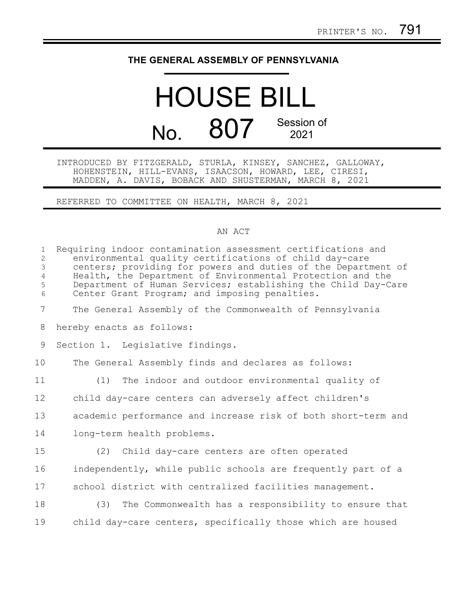## **THE GENERAL ASSEMBLY OF PENNSYLVANIA**

## HOUSE BILL No. 807 Session of 2021

INTRODUCED BY FITZGERALD, STURLA, KINSEY, SANCHEZ, GALLOWAY, HOHENSTEIN, HILL-EVANS, ISAACSON, HOWARD, LEE, CIRESI, MADDEN, A. DAVIS, BOBACK AND SHUSTERMAN, MARCH 8, 2021

REFERRED TO COMMITTEE ON HEALTH, MARCH 8, 2021

## AN ACT

| $\mathbf{1}$<br>2<br>$\mathfrak{Z}$<br>$\overline{4}$<br>5<br>6 | Requiring indoor contamination assessment certifications and<br>environmental quality certifications of child day-care<br>centers; providing for powers and duties of the Department of<br>Health, the Department of Environmental Protection and the<br>Department of Human Services; establishing the Child Day-Care<br>Center Grant Program; and imposing penalties. |
|-----------------------------------------------------------------|-------------------------------------------------------------------------------------------------------------------------------------------------------------------------------------------------------------------------------------------------------------------------------------------------------------------------------------------------------------------------|
| $\overline{7}$                                                  | The General Assembly of the Commonwealth of Pennsylvania                                                                                                                                                                                                                                                                                                                |
| 8                                                               | hereby enacts as follows:                                                                                                                                                                                                                                                                                                                                               |
| 9                                                               | Section 1. Legislative findings.                                                                                                                                                                                                                                                                                                                                        |
| 10                                                              | The General Assembly finds and declares as follows:                                                                                                                                                                                                                                                                                                                     |
| 11                                                              | The indoor and outdoor environmental quality of<br>(1)                                                                                                                                                                                                                                                                                                                  |
| 12                                                              | child day-care centers can adversely affect children's                                                                                                                                                                                                                                                                                                                  |
| 13                                                              | academic performance and increase risk of both short-term and                                                                                                                                                                                                                                                                                                           |
| 14                                                              | long-term health problems.                                                                                                                                                                                                                                                                                                                                              |
| 15                                                              | (2) Child day-care centers are often operated                                                                                                                                                                                                                                                                                                                           |
| 16                                                              | independently, while public schools are frequently part of a                                                                                                                                                                                                                                                                                                            |
| 17                                                              | school district with centralized facilities management.                                                                                                                                                                                                                                                                                                                 |
| 18                                                              | (3) The Commonwealth has a responsibility to ensure that                                                                                                                                                                                                                                                                                                                |
| 19                                                              | child day-care centers, specifically those which are housed                                                                                                                                                                                                                                                                                                             |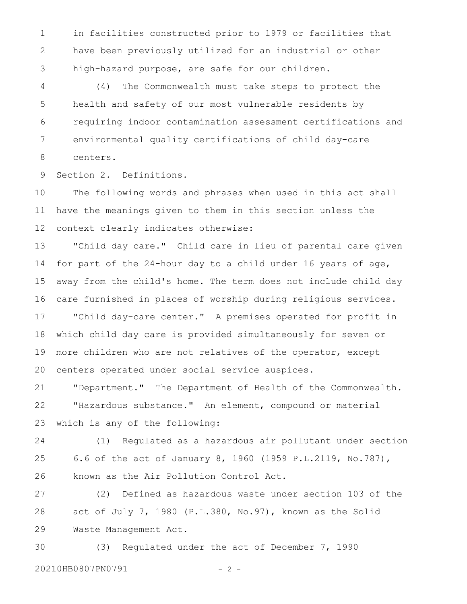in facilities constructed prior to 1979 or facilities that have been previously utilized for an industrial or other high-hazard purpose, are safe for our children. 1 2 3

(4) The Commonwealth must take steps to protect the health and safety of our most vulnerable residents by requiring indoor contamination assessment certifications and environmental quality certifications of child day-care centers. 4 5 6 7 8

Section 2. Definitions. 9

The following words and phrases when used in this act shall have the meanings given to them in this section unless the context clearly indicates otherwise: 10 11 12

"Child day care." Child care in lieu of parental care given for part of the 24-hour day to a child under 16 years of age, away from the child's home. The term does not include child day care furnished in places of worship during religious services. "Child day-care center." A premises operated for profit in which child day care is provided simultaneously for seven or more children who are not relatives of the operator, except centers operated under social service auspices. 13 14 15 16 17 18 19 20

"Department." The Department of Health of the Commonwealth. "Hazardous substance." An element, compound or material which is any of the following: 21 22 23

(1) Regulated as a hazardous air pollutant under section 6.6 of the act of January 8, 1960 (1959 P.L.2119, No.787), known as the Air Pollution Control Act. 24 25 26

(2) Defined as hazardous waste under section 103 of the act of July 7, 1980 (P.L.380, No.97), known as the Solid Waste Management Act. 27 28 29

(3) Regulated under the act of December 7, 1990 20210HB0807PN0791 - 2 -30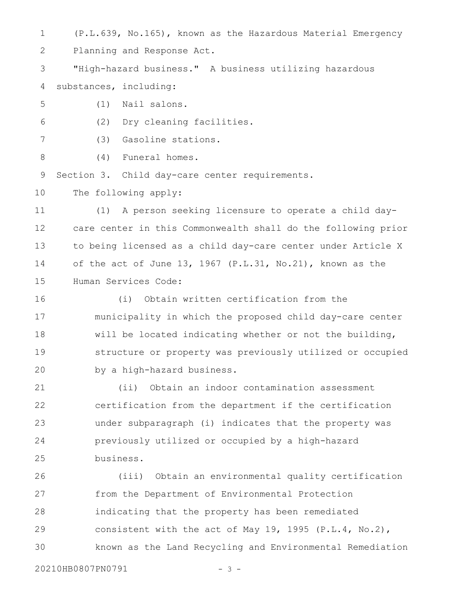(P.L.639, No.165), known as the Hazardous Material Emergency 1

Planning and Response Act. 2

"High-hazard business." A business utilizing hazardous substances, including: 3 4

- (1) Nail salons. 5
- (2) Dry cleaning facilities. 6
- (3) Gasoline stations. 7
- (4) Funeral homes. 8

Section 3. Child day-care center requirements. 9

The following apply: 10

(1) A person seeking licensure to operate a child daycare center in this Commonwealth shall do the following prior to being licensed as a child day-care center under Article X of the act of June 13, 1967 (P.L.31, No.21), known as the Human Services Code: 11 12 13 14 15

(i) Obtain written certification from the municipality in which the proposed child day-care center will be located indicating whether or not the building, structure or property was previously utilized or occupied by a high-hazard business. 16 17 18 19 20

(ii) Obtain an indoor contamination assessment certification from the department if the certification under subparagraph (i) indicates that the property was previously utilized or occupied by a high-hazard business. 21 22 23 24 25

(iii) Obtain an environmental quality certification from the Department of Environmental Protection indicating that the property has been remediated consistent with the act of May 19, 1995 (P.L.4, No.2), known as the Land Recycling and Environmental Remediation 26 27 28 29 30

20210HB0807PN0791 - 3 -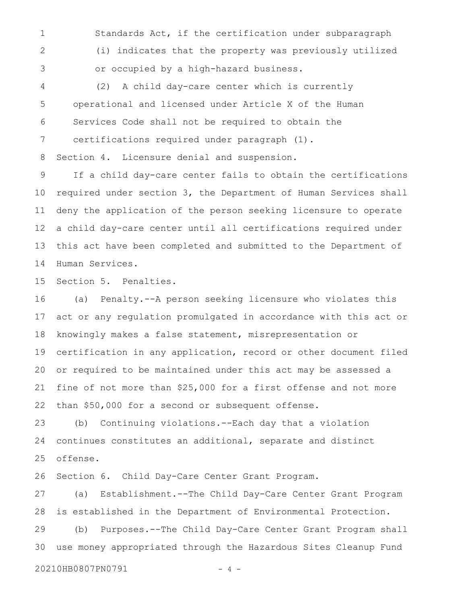Standards Act, if the certification under subparagraph (i) indicates that the property was previously utilized or occupied by a high-hazard business. 1 2 3

(2) A child day-care center which is currently operational and licensed under Article X of the Human Services Code shall not be required to obtain the certifications required under paragraph (1). 4 5 6 7

Section 4. Licensure denial and suspension. 8

If a child day-care center fails to obtain the certifications required under section 3, the Department of Human Services shall deny the application of the person seeking licensure to operate a child day-care center until all certifications required under this act have been completed and submitted to the Department of Human Services. 9 10 11 12 13 14

Section 5. Penalties. 15

(a) Penalty.--A person seeking licensure who violates this act or any regulation promulgated in accordance with this act or knowingly makes a false statement, misrepresentation or certification in any application, record or other document filed or required to be maintained under this act may be assessed a fine of not more than \$25,000 for a first offense and not more than \$50,000 for a second or subsequent offense. 16 17 18 19 20 21 22

(b) Continuing violations.--Each day that a violation continues constitutes an additional, separate and distinct offense. 23 24 25

Section 6. Child Day-Care Center Grant Program. 26

(a) Establishment.--The Child Day-Care Center Grant Program is established in the Department of Environmental Protection. 27 28

(b) Purposes.--The Child Day-Care Center Grant Program shall use money appropriated through the Hazardous Sites Cleanup Fund 29 30

20210HB0807PN0791 - 4 -